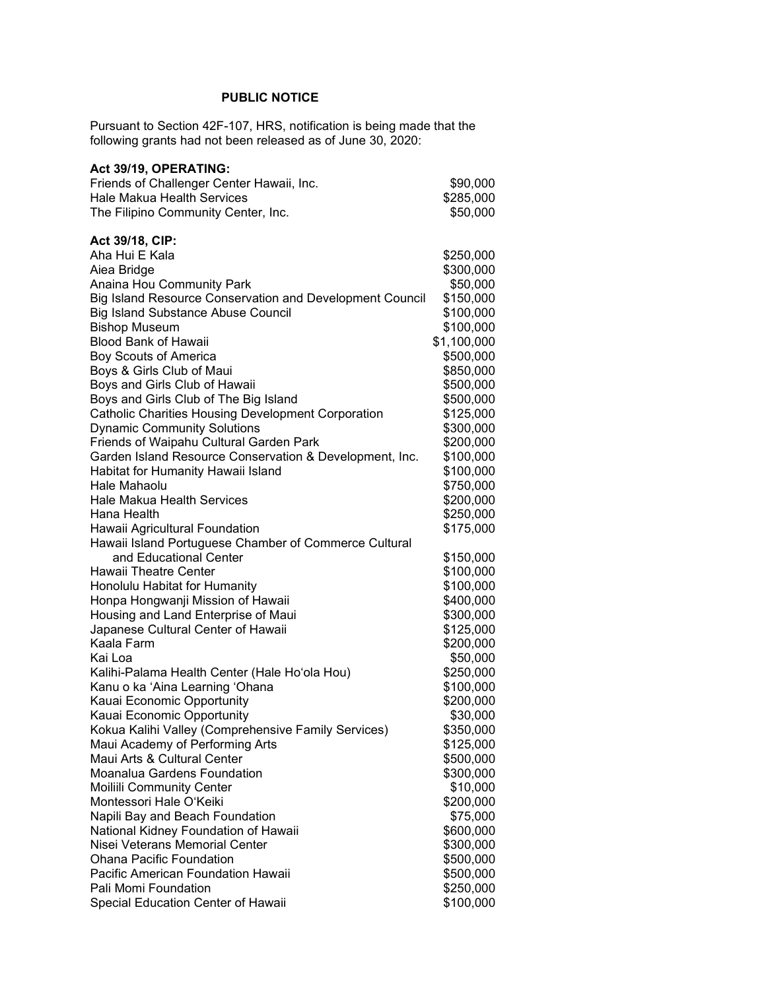## **PUBLIC NOTICE**

Pursuant to Section 42F-107, HRS, notification is being made that the following grants had not been released as of June 30, 2020:

| Act 39/19, OPERATING:                                     |             |
|-----------------------------------------------------------|-------------|
| Friends of Challenger Center Hawaii, Inc.                 | \$90,000    |
| <b>Hale Makua Health Services</b>                         | \$285,000   |
| The Filipino Community Center, Inc.                       | \$50,000    |
|                                                           |             |
| Act 39/18, CIP:                                           |             |
| Aha Hui E Kala                                            | \$250,000   |
| Aiea Bridge                                               | \$300,000   |
| Anaina Hou Community Park                                 | \$50,000    |
| Big Island Resource Conservation and Development Council  | \$150,000   |
| <b>Big Island Substance Abuse Council</b>                 | \$100,000   |
| <b>Bishop Museum</b>                                      | \$100,000   |
| <b>Blood Bank of Hawaii</b>                               | \$1,100,000 |
| Boy Scouts of America                                     | \$500,000   |
| Boys & Girls Club of Maui                                 | \$850,000   |
| Boys and Girls Club of Hawaii                             | \$500,000   |
| Boys and Girls Club of The Big Island                     | \$500,000   |
| <b>Catholic Charities Housing Development Corporation</b> | \$125,000   |
| <b>Dynamic Community Solutions</b>                        | \$300,000   |
| Friends of Waipahu Cultural Garden Park                   | \$200,000   |
| Garden Island Resource Conservation & Development, Inc.   | \$100,000   |
| Habitat for Humanity Hawaii Island                        | \$100,000   |
| Hale Mahaolu                                              | \$750,000   |
| <b>Hale Makua Health Services</b>                         | \$200,000   |
| Hana Health                                               | \$250,000   |
| Hawaii Agricultural Foundation                            | \$175,000   |
| Hawaii Island Portuguese Chamber of Commerce Cultural     |             |
| and Educational Center                                    | \$150,000   |
| Hawaii Theatre Center                                     | \$100,000   |
| Honolulu Habitat for Humanity                             | \$100,000   |
| Honpa Hongwanji Mission of Hawaii                         | \$400,000   |
| Housing and Land Enterprise of Maui                       | \$300,000   |
| Japanese Cultural Center of Hawaii                        | \$125,000   |
| Kaala Farm                                                | \$200,000   |
| Kai Loa                                                   | \$50,000    |
| Kalihi-Palama Health Center (Hale Ho'ola Hou)             | \$250,000   |
| Kanu o ka 'Aina Learning 'Ohana                           | \$100,000   |
| Kauai Economic Opportunity                                | \$200,000   |
| Kauai Economic Opportunity                                | \$30,000    |
| Kokua Kalihi Valley (Comprehensive Family Services)       | \$350,000   |
| Maui Academy of Performing Arts                           | \$125,000   |
| Maui Arts & Cultural Center                               | \$500,000   |
| Moanalua Gardens Foundation                               | \$300,000   |
| Moiliili Community Center                                 | \$10,000    |
| Montessori Hale O'Keiki                                   | \$200,000   |
| Napili Bay and Beach Foundation                           | \$75,000    |
| National Kidney Foundation of Hawaii                      | \$600,000   |
| Nisei Veterans Memorial Center                            | \$300,000   |
| <b>Ohana Pacific Foundation</b>                           | \$500,000   |
| Pacific American Foundation Hawaii                        | \$500,000   |
| Pali Momi Foundation                                      | \$250,000   |
| Special Education Center of Hawaii                        | \$100,000   |